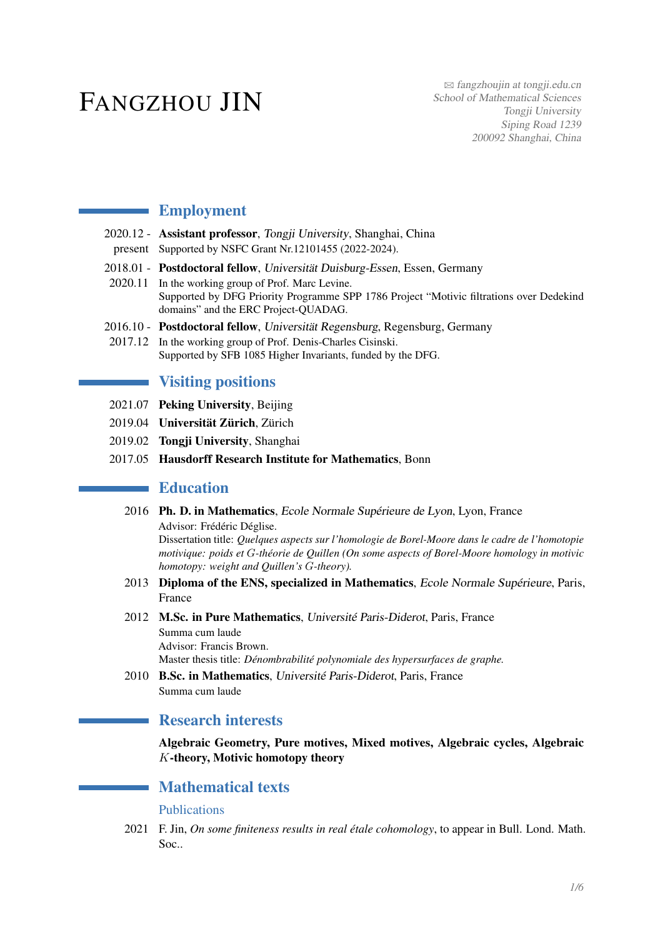# FANGZHOU JIN

 $\boxtimes$  [fangzhoujin at tongji.edu.cn](mailto:fangzhoujin at tongji.edu.cn) School of Mathematical Sciences Tongji University Siping Road 1239 200092 Shanghai, China

## **Employment**

- 2020.12 Assistant professor, Tongji University, Shanghai, China present Supported by NSFC Grant Nr.12101455 (2022-2024).
- 2018.01 Postdoctoral fellow, Universität Duisburg-Essen, Essen, Germany
- 2020.11 In the working group of Prof. Marc Levine. Supported by DFG Priority Programme SPP 1786 Project "Motivic filtrations over Dedekind domains" and the ERC Project-QUADAG.
- 2016.10 Postdoctoral fellow, Universität Regensburg, Regensburg, Germany
- 2017.12 In the working group of Prof. Denis-Charles Cisinski. Supported by SFB 1085 Higher Invariants, funded by the DFG.

## **Visiting positions**

- 2021.07 Peking University, Beijing
- 2019.04 Universität Zürich, Zürich
- 2019.02 Tongji University, Shanghai
- 2017.05 Hausdorff Research Institute for Mathematics, Bonn

### **Education**

2016 Ph. D. in Mathematics, Ecole Normale Supérieure de Lyon, Lyon, France Advisor: Frédéric Déglise.

Dissertation title: *Quelques aspects sur l'homologie de Borel-Moore dans le cadre de l'homotopie motivique: poids et G-théorie de Quillen (On some aspects of Borel-Moore homology in motivic homotopy: weight and Quillen's G-theory).*

- 2013 Diploma of the ENS, specialized in Mathematics, Ecole Normale Supérieure, Paris, France
- 2012 M.Sc. in Pure Mathematics, Université Paris-Diderot, Paris, France Summa cum laude Advisor: Francis Brown. Master thesis title: *Dénombrabilité polynomiale des hypersurfaces de graphe.*
- 2010 B.Sc. in Mathematics, Université Paris-Diderot, Paris, France Summa cum laude

## Research interests

Algebraic Geometry, Pure motives, Mixed motives, Algebraic cycles, Algebraic *K*-theory, Motivic homotopy theory

## Mathematical texts

#### Publications

2021 F. Jin, *On some finiteness results in real étale cohomology*, to appear in Bull. Lond. Math. Soc..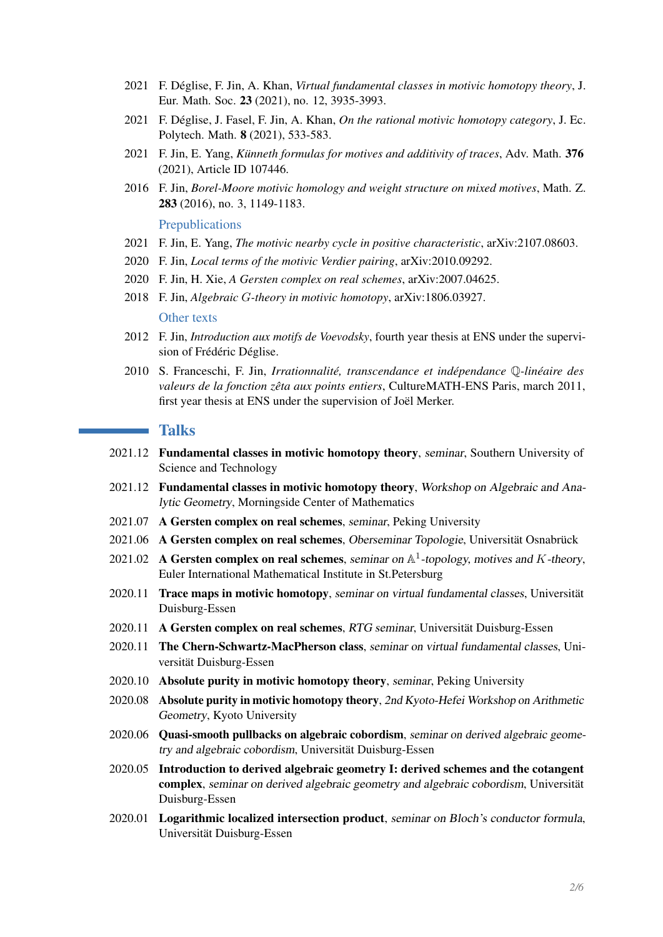- 2021 F. Déglise, F. Jin, A. Khan, *Virtual fundamental classes in motivic homotopy theory*, J. Eur. Math. Soc. 23 (2021), no. 12, 3935-3993.
- 2021 F. Déglise, J. Fasel, F. Jin, A. Khan, *On the rational motivic homotopy category*, J. Ec. Polytech. Math. 8 (2021), 533-583.
- 2021 F. Jin, E. Yang, *Künneth formulas for motives and additivity of traces*, Adv. Math. 376 (2021), Article ID 107446.
- 2016 F. Jin, *Borel-Moore motivic homology and weight structure on mixed motives*, Math. Z. 283 (2016), no. 3, 1149-1183.

Prepublications

- 2021 F. Jin, E. Yang, *The motivic nearby cycle in positive characteristic*, arXiv:2107.08603.
- 2020 F. Jin, *Local terms of the motivic Verdier pairing*, arXiv:2010.09292.
- 2020 F. Jin, H. Xie, *A Gersten complex on real schemes*, arXiv:2007.04625.
- 2018 F. Jin, *Algebraic G-theory in motivic homotopy*, arXiv:1806.03927. Other texts
- 2012 F. Jin, *Introduction aux motifs de Voevodsky*, fourth year thesis at ENS under the supervision of Frédéric Déglise.
- 2010 S. Franceschi, F. Jin, *Irrationnalité, transcendance et indépendance* Q*-linéaire des valeurs de la fonction zêta aux points entiers*, CultureMATH-ENS Paris, march 2011, first year thesis at ENS under the supervision of Joël Merker.

#### **Talks**

- 2021.12 Fundamental classes in motivic homotopy theory, seminar, Southern University of Science and Technology
- 2021.12 Fundamental classes in motivic homotopy theory, Workshop on Algebraic and Analytic Geometry, Morningside Center of Mathematics
- 2021.07 A Gersten complex on real schemes, seminar, Peking University
- 2021.06 A Gersten complex on real schemes, Oberseminar Topologie, Universität Osnabrück
- 2021.02 A Gersten complex on real schemes, seminar on  $\mathbb{A}^1$ -topology, motives and *K*-theory, Euler International Mathematical Institute in St.Petersburg
- 2020.11 Trace maps in motivic homotopy, seminar on virtual fundamental classes, Universität Duisburg-Essen
- 2020.11 A Gersten complex on real schemes, RTG seminar, Universität Duisburg-Essen
- 2020.11 The Chern-Schwartz-MacPherson class, seminar on virtual fundamental classes, Universität Duisburg-Essen
- 2020.10 Absolute purity in motivic homotopy theory, seminar, Peking University
- 2020.08 Absolute purity in motivic homotopy theory, 2nd Kyoto-Hefei Workshop on Arithmetic Geometry, Kyoto University
- 2020.06 Quasi-smooth pullbacks on algebraic cobordism, seminar on derived algebraic geometry and algebraic cobordism, Universität Duisburg-Essen
- 2020.05 Introduction to derived algebraic geometry I: derived schemes and the cotangent complex, seminar on derived algebraic geometry and algebraic cobordism, Universität Duisburg-Essen
- 2020.01 Logarithmic localized intersection product, seminar on Bloch's conductor formula, Universität Duisburg-Essen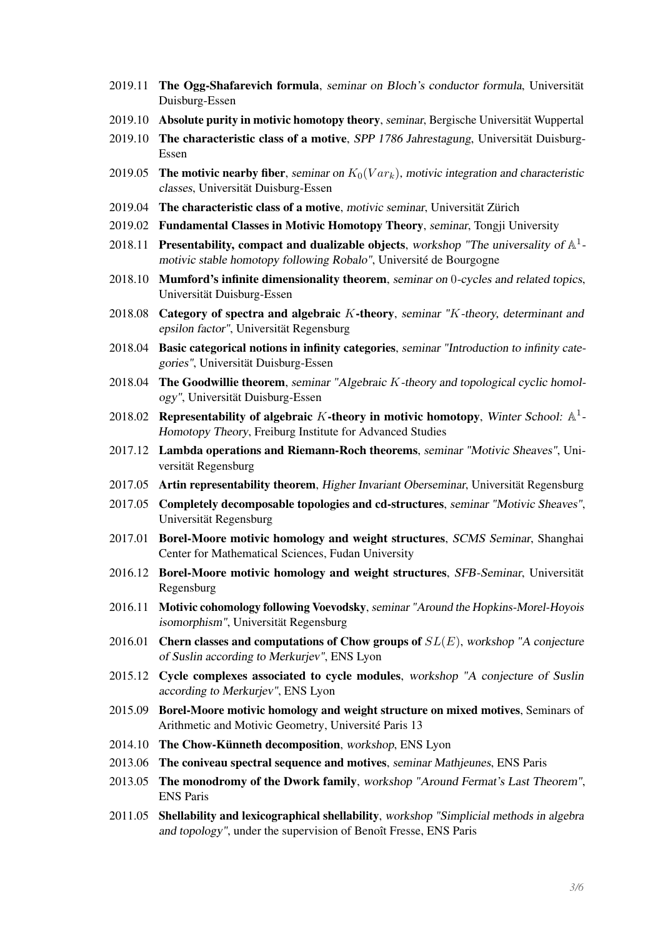- 2019.11 The Ogg-Shafarevich formula, seminar on Bloch's conductor formula, Universität Duisburg-Essen
- 2019.10 Absolute purity in motivic homotopy theory, seminar, Bergische Universität Wuppertal
- 2019.10 The characteristic class of a motive, SPP 1786 Jahrestagung, Universität Duisburg-Essen
- 2019.05 **The motivic nearby fiber,** seminar on  $K_0(Var_k)$ , motivic integration and characteristic classes, Universität Duisburg-Essen
- 2019.04 The characteristic class of a motive, motivic seminar, Universität Zürich
- 2019.02 Fundamental Classes in Motivic Homotopy Theory, seminar, Tongji University
- 2018.11 Presentability, compact and dualizable objects, workshop "The universality of  $\mathbb{A}^1$ motivic stable homotopy following Robalo", Université de Bourgogne
- 2018.10 Mumford's infinite dimensionality theorem, seminar on 0-cycles and related topics, Universität Duisburg-Essen
- 2018.08 Category of spectra and algebraic *K*-theory, seminar "*K*-theory, determinant and epsilon factor", Universität Regensburg
- 2018.04 Basic categorical notions in infinity categories, seminar "Introduction to infinity categories", Universität Duisburg-Essen
- 2018.04 The Goodwillie theorem, seminar "Algebraic *K*-theory and topological cyclic homology", Universität Duisburg-Essen
- 2018.02 Representability of algebraic K-theory in motivic homotopy, Winter School:  $\mathbb{A}^1$ -Homotopy Theory, Freiburg Institute for Advanced Studies
- 2017.12 Lambda operations and Riemann-Roch theorems, seminar "Motivic Sheaves", Universität Regensburg
- 2017.05 Artin representability theorem, Higher Invariant Oberseminar, Universität Regensburg
- 2017.05 Completely decomposable topologies and cd-structures, seminar "Motivic Sheaves", Universität Regensburg
- 2017.01 Borel-Moore motivic homology and weight structures, SCMS Seminar, Shanghai Center for Mathematical Sciences, Fudan University
- 2016.12 Borel-Moore motivic homology and weight structures, SFB-Seminar, Universität Regensburg
- 2016.11 Motivic cohomology following Voevodsky, seminar "Around the Hopkins-Morel-Hoyois isomorphism", Universität Regensburg
- 2016.01 Chern classes and computations of Chow groups of *SL*(*E*), workshop "A conjecture of Suslin according to Merkurjev", ENS Lyon
- 2015.12 Cycle complexes associated to cycle modules, workshop "A conjecture of Suslin according to Merkurjev", ENS Lyon
- 2015.09 Borel-Moore motivic homology and weight structure on mixed motives, Seminars of Arithmetic and Motivic Geometry, Université Paris 13
- 2014.10 The Chow-Künneth decomposition, workshop, ENS Lyon
- 2013.06 The coniveau spectral sequence and motives, seminar Mathjeunes, ENS Paris
- 2013.05 The monodromy of the Dwork family, workshop "Around Fermat's Last Theorem", ENS Paris
- 2011.05 Shellability and lexicographical shellability, workshop "Simplicial methods in algebra and topology", under the supervision of Benoît Fresse, ENS Paris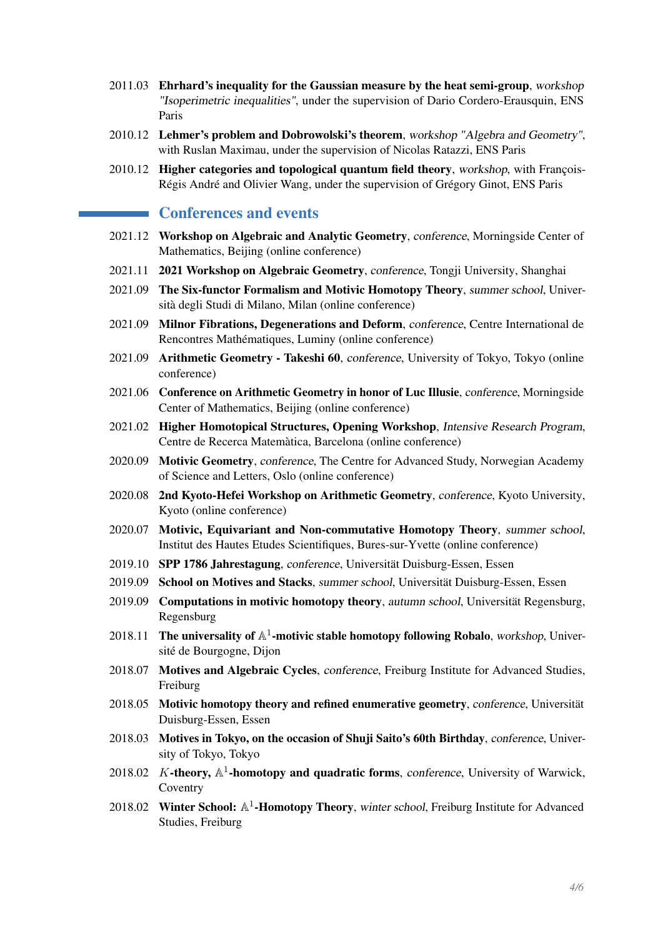- 2011.03 Ehrhard's inequality for the Gaussian measure by the heat semi-group, workshop "Isoperimetric inequalities", under the supervision of Dario Cordero-Erausquin, ENS Paris
- 2010.12 Lehmer's problem and Dobrowolski's theorem, workshop "Algebra and Geometry", with Ruslan Maximau, under the supervision of Nicolas Ratazzi, ENS Paris
- 2010.12 Higher categories and topological quantum field theory, workshop, with François-Régis André and Olivier Wang, under the supervision of Grégory Ginot, ENS Paris

## **EXECONFERENCES** and events

- 2021.12 Workshop on Algebraic and Analytic Geometry, conference, Morningside Center of Mathematics, Beijing (online conference)
- 2021.11 2021 Workshop on Algebraic Geometry, conference, Tongji University, Shanghai
- 2021.09 The Six-functor Formalism and Motivic Homotopy Theory, summer school, Università degli Studi di Milano, Milan (online conference)
- 2021.09 Milnor Fibrations, Degenerations and Deform, conference, Centre International de Rencontres Mathématiques, Luminy (online conference)
- 2021.09 Arithmetic Geometry Takeshi 60, conference, University of Tokyo, Tokyo (online conference)
- 2021.06 Conference on Arithmetic Geometry in honor of Luc Illusie, conference, Morningside Center of Mathematics, Beijing (online conference)
- 2021.02 Higher Homotopical Structures, Opening Workshop, Intensive Research Program, Centre de Recerca Matemàtica, Barcelona (online conference)
- 2020.09 Motivic Geometry, conference, The Centre for Advanced Study, Norwegian Academy of Science and Letters, Oslo (online conference)
- 2020.08 2nd Kyoto-Hefei Workshop on Arithmetic Geometry, conference, Kyoto University, Kyoto (online conference)
- 2020.07 Motivic, Equivariant and Non-commutative Homotopy Theory, summer school, Institut des Hautes Etudes Scientifiques, Bures-sur-Yvette (online conference)
- 2019.10 SPP 1786 Jahrestagung, conference, Universität Duisburg-Essen, Essen
- 2019.09 School on Motives and Stacks, summer school, Universität Duisburg-Essen, Essen
- 2019.09 Computations in motivic homotopy theory, autumn school, Universität Regensburg, Regensburg
- 2018.11 The universality of  $\mathbb{A}^1$ -motivic stable homotopy following Robalo, workshop, Université de Bourgogne, Dijon
- 2018.07 Motives and Algebraic Cycles, conference, Freiburg Institute for Advanced Studies, Freiburg
- 2018.05 Motivic homotopy theory and refined enumerative geometry, conference, Universität Duisburg-Essen, Essen
- 2018.03 Motives in Tokyo, on the occasion of Shuji Saito's 60th Birthday, conference, University of Tokyo, Tokyo
- 2018.02 *K*-theory,  $A^1$ -homotopy and quadratic forms, conference, University of Warwick, Coventry
- 2018.02 Winter School: A<sup>1</sup>-Homotopy Theory, winter school, Freiburg Institute for Advanced Studies, Freiburg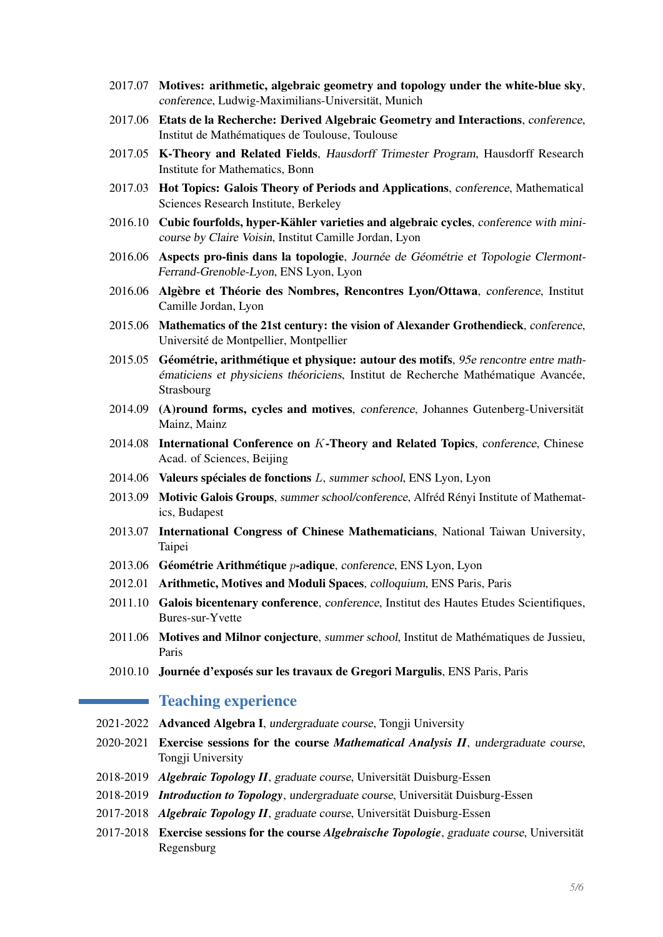- 2017.07 Motives: arithmetic, algebraic geometry and topology under the white-blue sky, conference, Ludwig-Maximilians-Universität, Munich
- 2017.06 Etats de la Recherche: Derived Algebraic Geometry and Interactions, conference, Institut de Mathématiques de Toulouse, Toulouse
- 2017.05 K-Theory and Related Fields, Hausdorff Trimester Program, Hausdorff Research Institute for Mathematics, Bonn
- 2017.03 Hot Topics: Galois Theory of Periods and Applications, conference, Mathematical Sciences Research Institute, Berkeley
- 2016.10 Cubic fourfolds, hyper-Kähler varieties and algebraic cycles, conference with minicourse by Claire Voisin, Institut Camille Jordan, Lyon
- 2016.06 Aspects pro-finis dans la topologie, Journée de Géométrie et Topologie Clermont-Ferrand-Grenoble-Lyon, ENS Lyon, Lyon
- 2016.06 Algèbre et Théorie des Nombres, Rencontres Lyon/Ottawa, conference, Institut Camille Jordan, Lyon
- 2015.06 Mathematics of the 21st century: the vision of Alexander Grothendieck, conference, Université de Montpellier, Montpellier
- 2015.05 Géométrie, arithmétique et physique: autour des motifs, 95e rencontre entre mathématiciens et physiciens théoriciens, Institut de Recherche Mathématique Avancée, Strasbourg
- 2014.09 (A)round forms, cycles and motives, conference, Johannes Gutenberg-Universität Mainz, Mainz
- 2014.08 International Conference on *K*-Theory and Related Topics, conference, Chinese Acad. of Sciences, Beijing
- 2014.06 Valeurs spéciales de fonctions *L*, summer school, ENS Lyon, Lyon
- 2013.09 Motivic Galois Groups, summer school/conference, Alfréd Rényi Institute of Mathematics, Budapest
- 2013.07 International Congress of Chinese Mathematicians, National Taiwan University, Taipei
- 2013.06 Géométrie Arithmétique *p*-adique, conference, ENS Lyon, Lyon
- 2012.01 Arithmetic, Motives and Moduli Spaces, colloquium, ENS Paris, Paris
- 2011.10 Galois bicentenary conference, conference, Institut des Hautes Etudes Scientifiques, Bures-sur-Yvette
- 2011.06 Motives and Milnor conjecture, summer school, Institut de Mathématiques de Jussieu, Paris
- 2010.10 Journée d'exposés sur les travaux de Gregori Margulis, ENS Paris, Paris

## **Teaching experience**

- 2021-2022 Advanced Algebra I, undergraduate course, Tongji University
- 2020-2021 Exercise sessions for the course *Mathematical Analysis II*, undergraduate course, Tongji University
- 2018-2019 *Algebraic Topology II*, graduate course, Universität Duisburg-Essen
- 2018-2019 *Introduction to Topology*, undergraduate course, Universität Duisburg-Essen
- 2017-2018 *Algebraic Topology II*, graduate course, Universität Duisburg-Essen
- 2017-2018 Exercise sessions for the course *Algebraische Topologie*, graduate course, Universität Regensburg